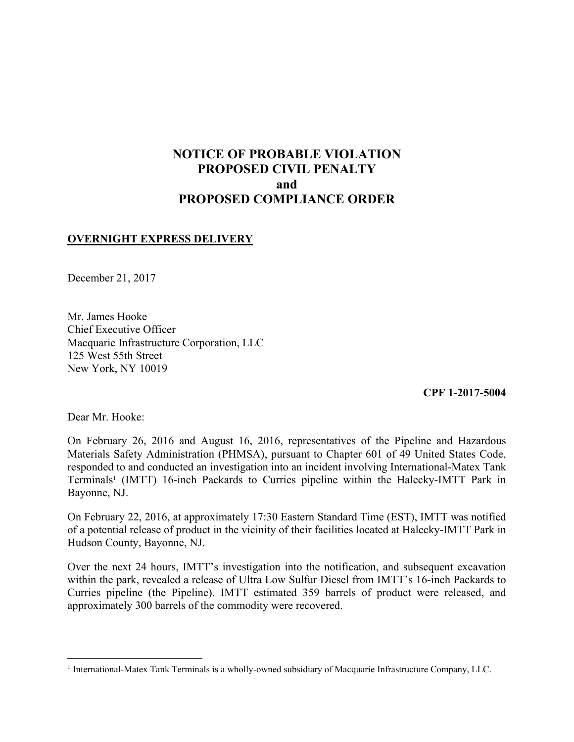# **NOTICE OF PROBABLE VIOLATION PROPOSED CIVIL PENALTY and PROPOSED COMPLIANCE ORDER**

### **OVERNIGHT EXPRESS DELIVERY**

December 21, 2017

Mr. James Hooke Chief Executive Officer Macquarie Infrastructure Corporation, LLC 125 West 55th Street New York, NY 10019

**CPF 1-2017-5004**

Dear Mr. Hooke:

 $\overline{a}$ 

On February 26, 2016 and August 16, 2016, representatives of the Pipeline and Hazardous Materials Safety Administration (PHMSA), pursuant to Chapter 601 of 49 United States Code, responded to and conducted an investigation into an incident involving International-Matex Tank Terminals<sup>1</sup> (IMTT) 16-inch Packards to Curries pipeline within the Halecky-IMTT Park in Bayonne, NJ.

On February 22, 2016, at approximately 17:30 Eastern Standard Time (EST), IMTT was notified of a potential release of product in the vicinity of their facilities located at Halecky-IMTT Park in Hudson County, Bayonne, NJ.

 within the park, revealed a release of Ultra Low Sulfur Diesel from IMTT's 16-inch Packards to Over the next 24 hours, IMTT's investigation into the notification, and subsequent excavation Curries pipeline (the Pipeline). IMTT estimated 359 barrels of product were released, and approximately 300 barrels of the commodity were recovered.

<sup>&</sup>lt;sup>1</sup> International-Matex Tank Terminals is a wholly-owned subsidiary of Macquarie Infrastructure Company, LLC.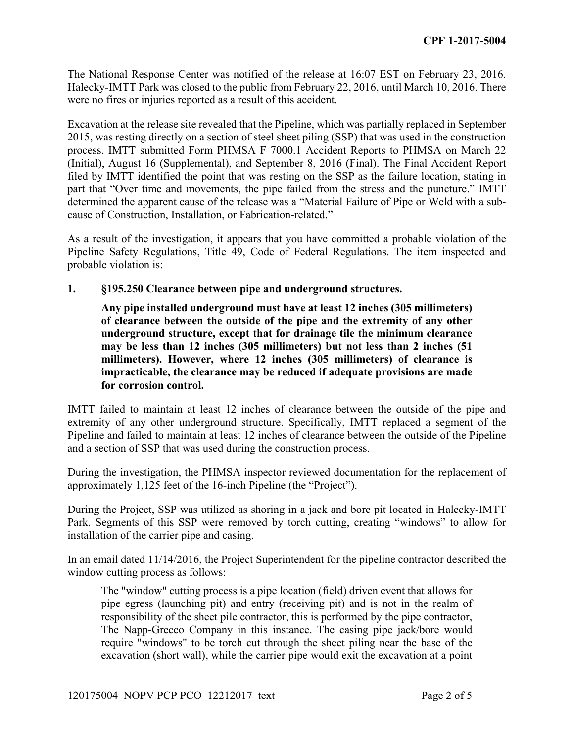The National Response Center was notified of the release at 16:07 EST on February 23, 2016. Halecky-IMTT Park was closed to the public from February 22, 2016, until March 10, 2016. There were no fires or injuries reported as a result of this accident.

 Excavation at the release site revealed that the Pipeline, which was partially replaced in September process. IMTT submitted Form PHMSA F 7000.1 Accident Reports to PHMSA on March 22 determined the apparent cause of the release was a "Material Failure of Pipe or Weld with a sub-2015, was resting directly on a section of steel sheet piling (SSP) that was used in the construction (Initial), August 16 (Supplemental), and September 8, 2016 (Final). The Final Accident Report filed by IMTT identified the point that was resting on the SSP as the failure location, stating in part that "Over time and movements, the pipe failed from the stress and the puncture." IMTT cause of Construction, Installation, or Fabrication-related."

 As a result of the investigation, it appears that you have committed a probable violation of the Pipeline Safety Regulations, Title 49, Code of Federal Regulations. The item inspected and probable violation is:

**1. §195.250 Clearance between pipe and underground structures.** 

**Any pipe installed underground must have at least 12 inches (305 millimeters) of clearance between the outside of the pipe and the extremity of any other underground structure, except that for drainage tile the minimum clearance may be less than 12 inches (305 millimeters) but not less than 2 inches (51 millimeters). However, where 12 inches (305 millimeters) of clearance is impracticable, the clearance may be reduced if adequate provisions are made for corrosion control.**

 IMTT failed to maintain at least 12 inches of clearance between the outside of the pipe and extremity of any other underground structure. Specifically, IMTT replaced a segment of the Pipeline and failed to maintain at least 12 inches of clearance between the outside of the Pipeline and a section of SSP that was used during the construction process.

During the investigation, the PHMSA inspector reviewed documentation for the replacement of approximately 1,125 feet of the 16-inch Pipeline (the "Project").

During the Project, SSP was utilized as shoring in a jack and bore pit located in Halecky-IMTT Park. Segments of this SSP were removed by torch cutting, creating "windows" to allow for installation of the carrier pipe and casing.

In an email dated 11/14/2016, the Project Superintendent for the pipeline contractor described the window cutting process as follows:

 pipe egress (launching pit) and entry (receiving pit) and is not in the realm of require "windows" to be torch cut through the sheet piling near the base of the excavation (short wall), while the carrier pipe would exit the excavation at a point The "window" cutting process is a pipe location (field) driven event that allows for responsibility of the sheet pile contractor, this is performed by the pipe contractor, The Napp-Grecco Company in this instance. The casing pipe jack/bore would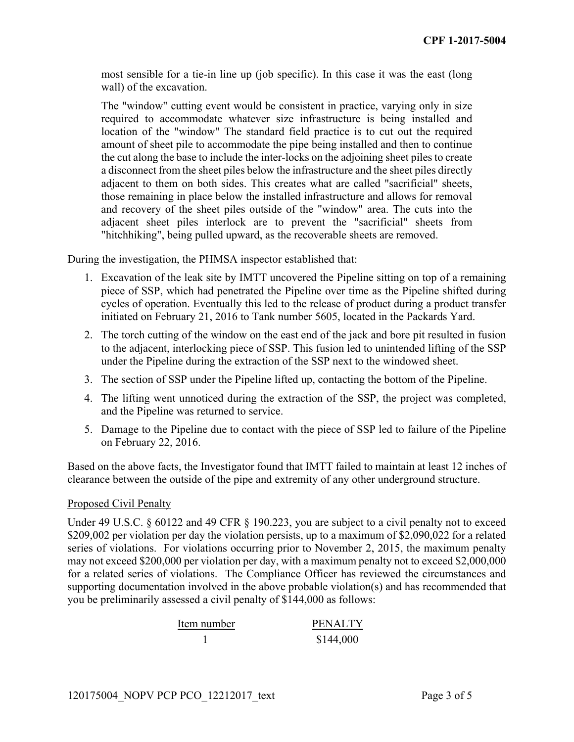most sensible for a tie-in line up (job specific). In this case it was the east (long wall) of the excavation.

 The "window" cutting event would be consistent in practice, varying only in size adjacent to them on both sides. This creates what are called "sacrificial" sheets, those remaining in place below the installed infrastructure and allows for removal required to accommodate whatever size infrastructure is being installed and location of the "window" The standard field practice is to cut out the required amount of sheet pile to accommodate the pipe being installed and then to continue the cut along the base to include the inter-locks on the adjoining sheet piles to create a disconnect from the sheet piles below the infrastructure and the sheet piles directly and recovery of the sheet piles outside of the "window" area. The cuts into the adjacent sheet piles interlock are to prevent the "sacrificial" sheets from "hitchhiking", being pulled upward, as the recoverable sheets are removed.

During the investigation, the PHMSA inspector established that:

- 1. Excavation of the leak site by IMTT uncovered the Pipeline sitting on top of a remaining piece of SSP, which had penetrated the Pipeline over time as the Pipeline shifted during cycles of operation. Eventually this led to the release of product during a product transfer initiated on February 21, 2016 to Tank number 5605, located in the Packards Yard.
- 2. The torch cutting of the window on the east end of the jack and bore pit resulted in fusion to the adjacent, interlocking piece of SSP. This fusion led to unintended lifting of the SSP under the Pipeline during the extraction of the SSP next to the windowed sheet.
- 3. The section of SSP under the Pipeline lifted up, contacting the bottom of the Pipeline.
- 4. The lifting went unnoticed during the extraction of the SSP, the project was completed, and the Pipeline was returned to service.
- 5. Damage to the Pipeline due to contact with the piece of SSP led to failure of the Pipeline on February 22, 2016.

 Based on the above facts, the Investigator found that IMTT failed to maintain at least 12 inches of clearance between the outside of the pipe and extremity of any other underground structure.

#### Proposed Civil Penalty

 may not exceed \$200,000 per violation per day, with a maximum penalty not to exceed \$2,000,000 Under 49 U.S.C. § 60122 and 49 CFR § 190.223, you are subject to a civil penalty not to exceed \$209,002 per violation per day the violation persists, up to a maximum of \$2,090,022 for a related series of violations. For violations occurring prior to November 2, 2015, the maximum penalty for a related series of violations. The Compliance Officer has reviewed the circumstances and supporting documentation involved in the above probable violation(s) and has recommended that you be preliminarily assessed a civil penalty of \$144,000 as follows:

| Item number | <b>PENALTY</b> |
|-------------|----------------|
|             | \$144,000      |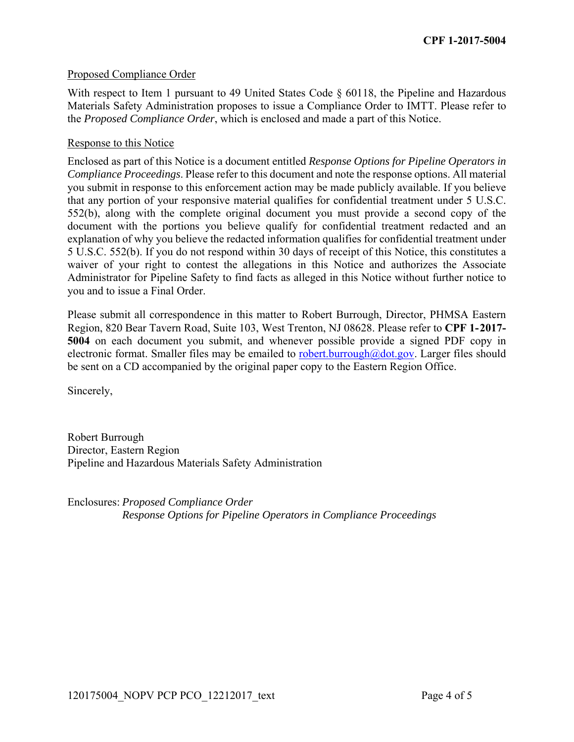#### Proposed Compliance Order

With respect to Item 1 pursuant to 49 United States Code § 60118, the Pipeline and Hazardous Materials Safety Administration proposes to issue a Compliance Order to IMTT. Please refer to the *Proposed Compliance Order*, which is enclosed and made a part of this Notice.

#### Response to this Notice

Enclosed as part of this Notice is a document entitled *Response Options for Pipeline Operators in Compliance Proceedings*. Please refer to this document and note the response options. All material you submit in response to this enforcement action may be made publicly available. If you believe that any portion of your responsive material qualifies for confidential treatment under 5 U.S.C. 552(b), along with the complete original document you must provide a second copy of the document with the portions you believe qualify for confidential treatment redacted and an explanation of why you believe the redacted information qualifies for confidential treatment under 5 U.S.C. 552(b). If you do not respond within 30 days of receipt of this Notice, this constitutes a waiver of your right to contest the allegations in this Notice and authorizes the Associate Administrator for Pipeline Safety to find facts as alleged in this Notice without further notice to you and to issue a Final Order.

Please submit all correspondence in this matter to Robert Burrough, Director, PHMSA Eastern Region, 820 Bear Tavern Road, Suite 103, West Trenton, NJ 08628. Please refer to **CPF 1-2017- 5004** on each document you submit, and whenever possible provide a signed PDF copy in electronic format. Smaller files may be emailed to robert.burrough@dot.gov. Larger files should be sent on a CD accompanied by the original paper copy to the Eastern Region Office.

Sincerely,

Robert Burrough Director, Eastern Region Pipeline and Hazardous Materials Safety Administration

Enclosures: *Proposed Compliance Order Response Options for Pipeline Operators in Compliance Proceedings*